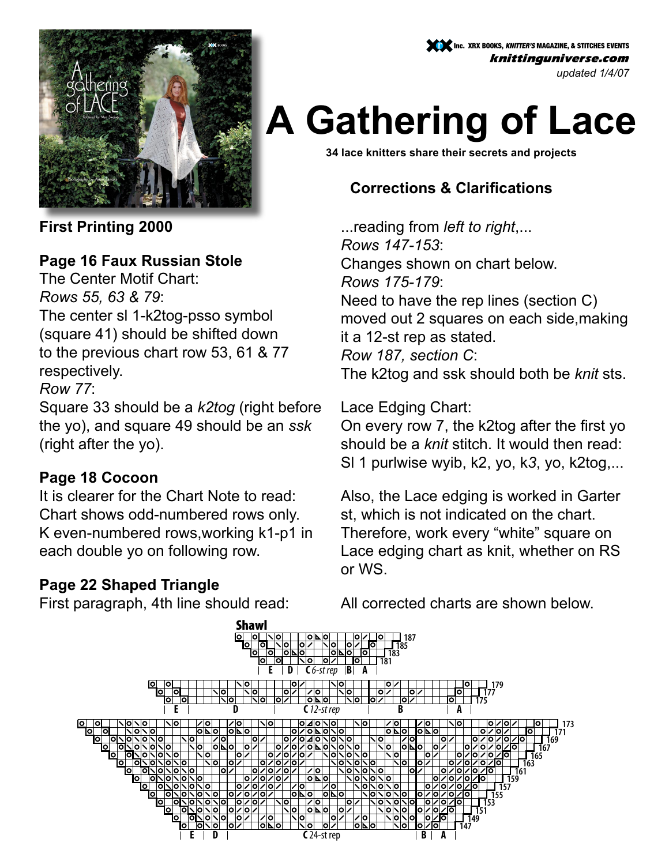

Inc. XRX BOOKS, *KNITTER'S* MAGAZINE, & STITCHES EVENTS knittinguniverse.com *updated 1/4/07*

# **A Gathering of Lace**

**34 lace knitters share their secrets and projects**

## **Corrections & Clarifications**

...reading from *left to right*,... *Rows 147-153*: Changes shown on chart below. *Rows 175-179*: Need to have the rep lines (section C) moved out 2 squares on each side,making it a 12-st rep as stated. *Row 187, section C*: The k2tog and ssk should both be *knit* sts.

Lace Edging Chart:

On every row 7, the k2tog after the first yo should be a *knit* stitch. It would then read: Sl 1 purlwise wyib, k2, yo, k*3*, yo, k2tog,...

Also, the Lace edging is worked in Garter st, which is not indicated on the chart. Therefore, work every "white" square on Lace edging chart as knit, whether on RS or WS.

**First Printing 2000**

#### **Page 16 Faux Russian Stole**

The Center Motif Chart: *Rows 55, 63 & 79*:

The center sl 1-k2tog-psso symbol (square 41) should be shifted down to the previous chart row 53, 61 & 77 respectively.

*Row 77*:

Square 33 should be a *k2tog* (right before the yo), and square 49 should be an *ssk* (right after the yo).

#### **Page 18 Cocoon**

It is clearer for the Chart Note to read: Chart shows odd-numbered rows only. K even-numbered rows,working k1-p1 in each double yo on following row.

#### **Page 22 Shaped Triangle**

First paragraph, 4th line should read:

All corrected charts are shown below.

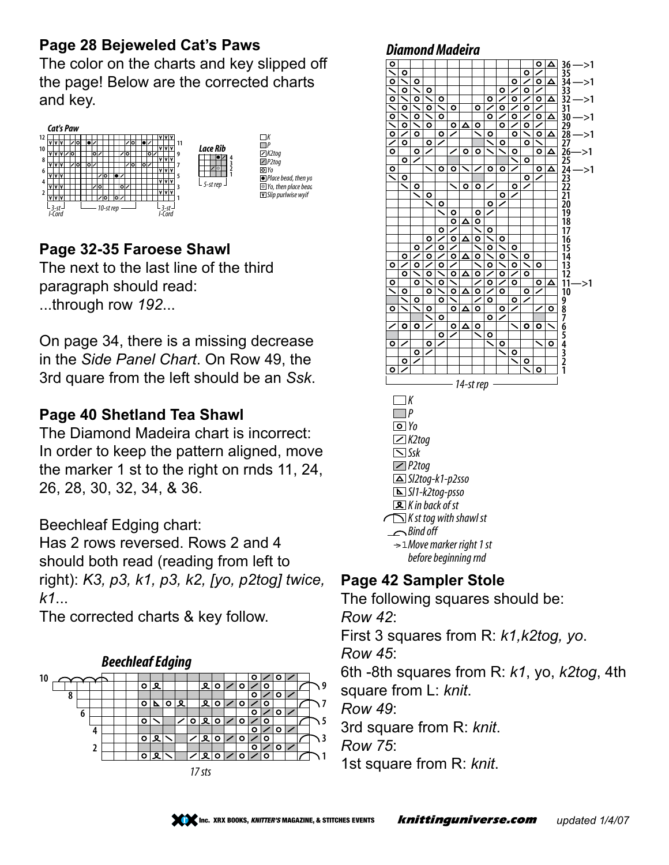## **Page 28 Bejeweled Cat's Paws**

The color on the charts and key slipped off the page! Below are the corrected charts and key.



# **Page 32-35 Faroese Shawl**

The next to the last line of the third paragraph should read: ...through row *192*...

On page 34, there is a missing decrease in the *Side Panel Chart*. On Row 49, the 3rd quare from the left should be an *Ssk*.

# **Page 40 Shetland Tea Shawl**

The Diamond Madeira chart is incorrect: In order to keep the pattern aligned, move the marker 1 st to the right on rnds 11, 24, 26, 28, 30, 32, 34, & 36.

Beechleaf Edging chart:

Has 2 rows reversed. Rows 2 and 4 should both read (reading from left to right): *K3, p3, k1, p3, k2, [yo, p2tog] twice, k1*...

The corrected charts & key follow.



#### **Diamond Madeira**



#### **Page 42 Sampler Stole**

The following squares should be:

*Row 42*:

First 3 squares from R: *k1,k2tog, yo*.

*Row 45*:

6th -8th squares from R: *k1*, yo, *k2tog*, 4th

square from L: *knit*.

*Row 49*:

3rd square from R: *knit*.

*Row 75*:

1st square from R: *knit*.

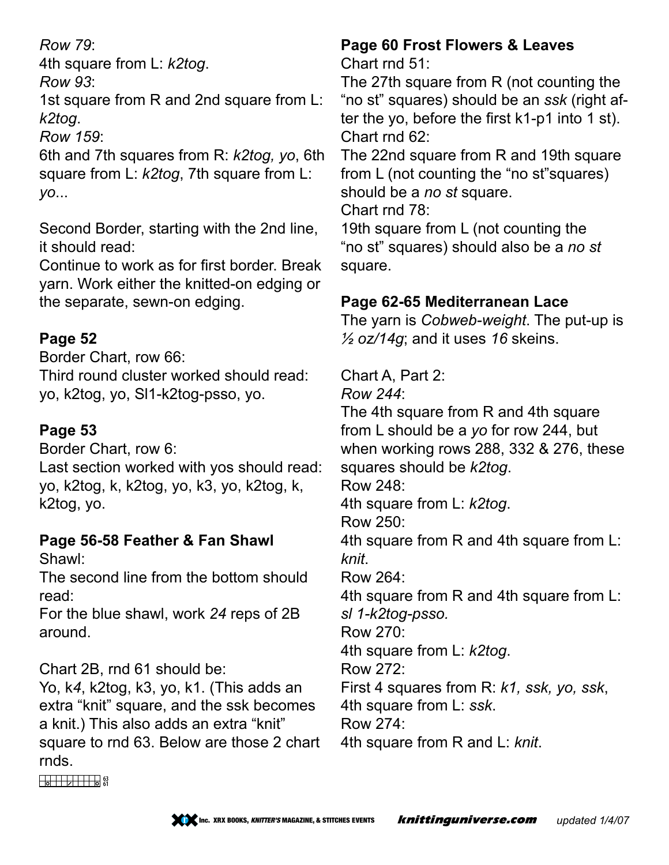#### *Row 79*:

4th square from L: *k2tog*.

*Row 93*:

1st square from R and 2nd square from L: *k2tog*.

*Row 159*:

6th and 7th squares from R: *k2tog, yo*, 6th square from L: *k2tog*, 7th square from L: *yo*...

Second Border, starting with the 2nd line, it should read:

Continue to work as for first border. Break yarn. Work either the knitted-on edging or the separate, sewn-on edging.

# **Page 52**

Border Chart, row 66:

Third round cluster worked should read: yo, k2tog, yo, Sl1-k2tog-psso, yo.

# **Page 53**

Border Chart, row 6:

Last section worked with yos should read: yo, k2tog, k, k2tog, yo, k3, yo, k2tog, k, k2tog, yo.

# **Page 56-58 Feather & Fan Shawl**

Shawl:

The second line from the bottom should read:

For the blue shawl, work *24* reps of 2B around.

Chart 2B, rnd 61 should be:

Yo, k*4*, k2tog, k3, yo, k1. (This adds an extra "knit" square, and the ssk becomes a knit.) This also adds an extra "knit" square to rnd 63. Below are those 2 chart rnds.

#### **Page 60 Frost Flowers & Leaves** Chart rnd 51:

The 27th square from R (not counting the "no st" squares) should be an *ssk* (right after the yo, before the first k1-p1 into 1 st). Chart rnd 62:

The 22nd square from R and 19th square from L (not counting the "no st"squares) should be a *no st* square.

Chart rnd 78:

19th square from L (not counting the "no st" squares) should also be a *no st* square.

# **Page 62-65 Mediterranean Lace**

The yarn is *Cobweb-weight*. The put-up is *½ oz/14g*; and it uses *16* skeins.

Chart A, Part 2:

*Row 244*:

The 4th square from R and 4th square from L should be a *yo* for row 244, but when working rows 288, 332 & 276, these squares should be *k2tog*.

Row 248:

4th square from L: *k2tog*.

Row 250:

4th square from R and 4th square from L: *knit*.

Row 264:

4th square from R and 4th square from L: *sl 1-k2tog-psso.*

Row 270:

4th square from L: *k2tog*.

Row 272:

First 4 squares from R: *k1, ssk, yo, ssk*,

4th square from L: *ssk*.

Row 274:

4th square from R and L: *knit*.

 $\frac{1}{2}$  63<br>61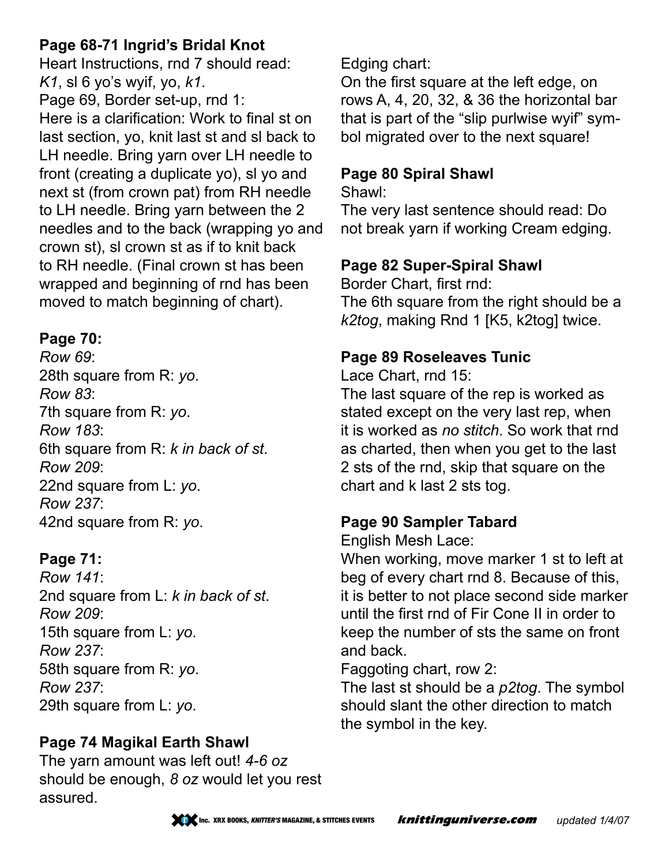#### **Page 68-71 Ingrid's Bridal Knot**

Heart Instructions, rnd 7 should read: *K1*, sl 6 yo's wyif, yo, *k1*.

Page 69, Border set-up, rnd 1: Here is a clarification: Work to final st on last section, yo, knit last st and sl back to LH needle. Bring yarn over LH needle to front (creating a duplicate yo), sl yo and next st (from crown pat) from RH needle to LH needle. Bring yarn between the 2 needles and to the back (wrapping yo and crown st), sl crown st as if to knit back to RH needle. (Final crown st has been wrapped and beginning of rnd has been moved to match beginning of chart).

#### **Page 70:**

*Row 69*: 28th square from R: *yo*. *Row 83*: 7th square from R: *yo*. *Row 183*: 6th square from R: *k in back of st*. *Row 209*: 22nd square from L: *yo*. *Row 237*: 42nd square from R: *yo*.

#### **Page 71:**

*Row 141*: 2nd square from L: *k in back of st*. *Row 209*: 15th square from L: *yo*. *Row 237*: 58th square from R: *yo*. *Row 237*: 29th square from L: *yo*.

#### **Page 74 Magikal Earth Shawl**

The yarn amount was left out! *4-6 oz* should be enough, *8 oz* would let you rest assured.

Edging chart:

On the first square at the left edge, on rows A, 4, 20, 32, & 36 the horizontal bar that is part of the "slip purlwise wyif" symbol migrated over to the next square!

#### **Page 80 Spiral Shawl**

Shawl:

The very last sentence should read: Do not break yarn if working Cream edging.

#### **Page 82 Super-Spiral Shawl**

Border Chart, first rnd: The 6th square from the right should be a *k2tog*, making Rnd 1 [K5, k2tog] twice.

#### **Page 89 Roseleaves Tunic**

Lace Chart, rnd 15:

The last square of the rep is worked as stated except on the very last rep, when it is worked as *no stitch*. So work that rnd as charted, then when you get to the last 2 sts of the rnd, skip that square on the chart and k last 2 sts tog.

#### **Page 90 Sampler Tabard**

English Mesh Lace:

When working, move marker 1 st to left at beg of every chart rnd 8. Because of this, it is better to not place second side marker until the first rnd of Fir Cone II in order to keep the number of sts the same on front and back.

Faggoting chart, row 2:

The last st should be a *p2tog*. The symbol should slant the other direction to match the symbol in the key.

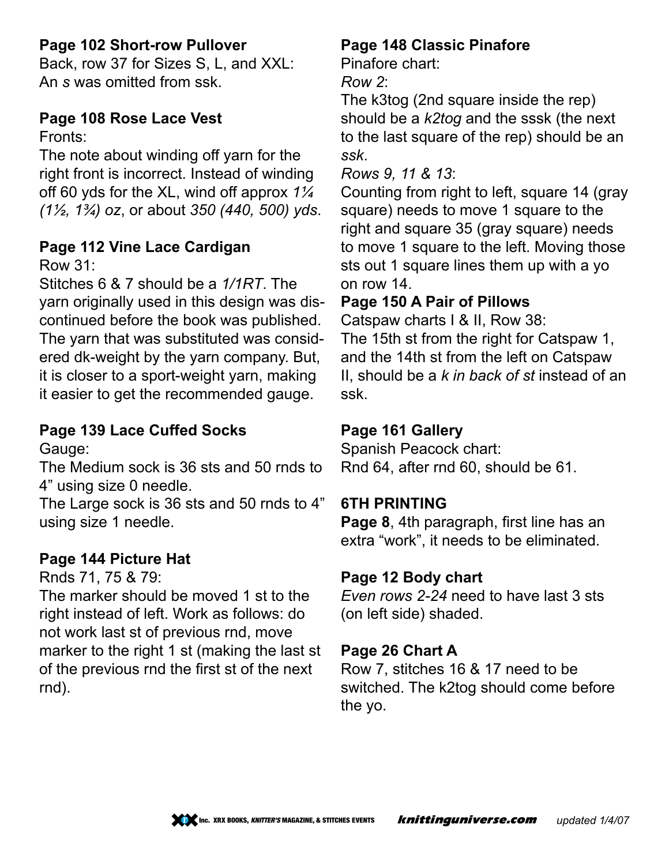#### **Page 102 Short-row Pullover**

Back, row 37 for Sizes S, L, and XXL: An *s* was omitted from ssk.

# **Page 108 Rose Lace Vest**

Fronts:

The note about winding off yarn for the right front is incorrect. Instead of winding off 60 yds for the XL, wind off approx *1¼ (1½, 1¾) oz*, or about *350 (440, 500) yds*.

# **Page 112 Vine Lace Cardigan**

Row 31:

Stitches 6 & 7 should be a *1/1RT*. The yarn originally used in this design was discontinued before the book was published. The yarn that was substituted was considered dk-weight by the yarn company. But, it is closer to a sport-weight yarn, making it easier to get the recommended gauge.

#### **Page 139 Lace Cuffed Socks**

Gauge:

The Medium sock is 36 sts and 50 rnds to 4" using size 0 needle.

The Large sock is 36 sts and 50 rnds to 4" using size 1 needle.

#### **Page 144 Picture Hat**

Rnds 71, 75 & 79:

The marker should be moved 1 st to the right instead of left. Work as follows: do not work last st of previous rnd, move marker to the right 1 st (making the last st of the previous rnd the first st of the next rnd).

#### **Page 148 Classic Pinafore**

Pinafore chart:

*Row 2*:

The k3tog (2nd square inside the rep) should be a *k2tog* and the sssk (the next to the last square of the rep) should be an *ssk*.

*Rows 9, 11 & 13*:

Counting from right to left, square 14 (gray square) needs to move 1 square to the right and square 35 (gray square) needs to move 1 square to the left. Moving those sts out 1 square lines them up with a yo on row 14.

# **Page 150 A Pair of Pillows**

Catspaw charts I & II, Row 38: The 15th st from the right for Catspaw 1, and the 14th st from the left on Catspaw II, should be a *k in back of st* instead of an ssk.

# **Page 161 Gallery**

Spanish Peacock chart: Rnd 64, after rnd 60, should be 61.

#### **6th Printing**

**Page 8**, 4th paragraph, first line has an extra "work", it needs to be eliminated.

#### **Page 12 Body chart**

*Even rows 2-24* need to have last 3 sts (on left side) shaded.

#### **Page 26 Chart A**

Row 7, stitches 16 & 17 need to be switched. The k2tog should come before the yo.